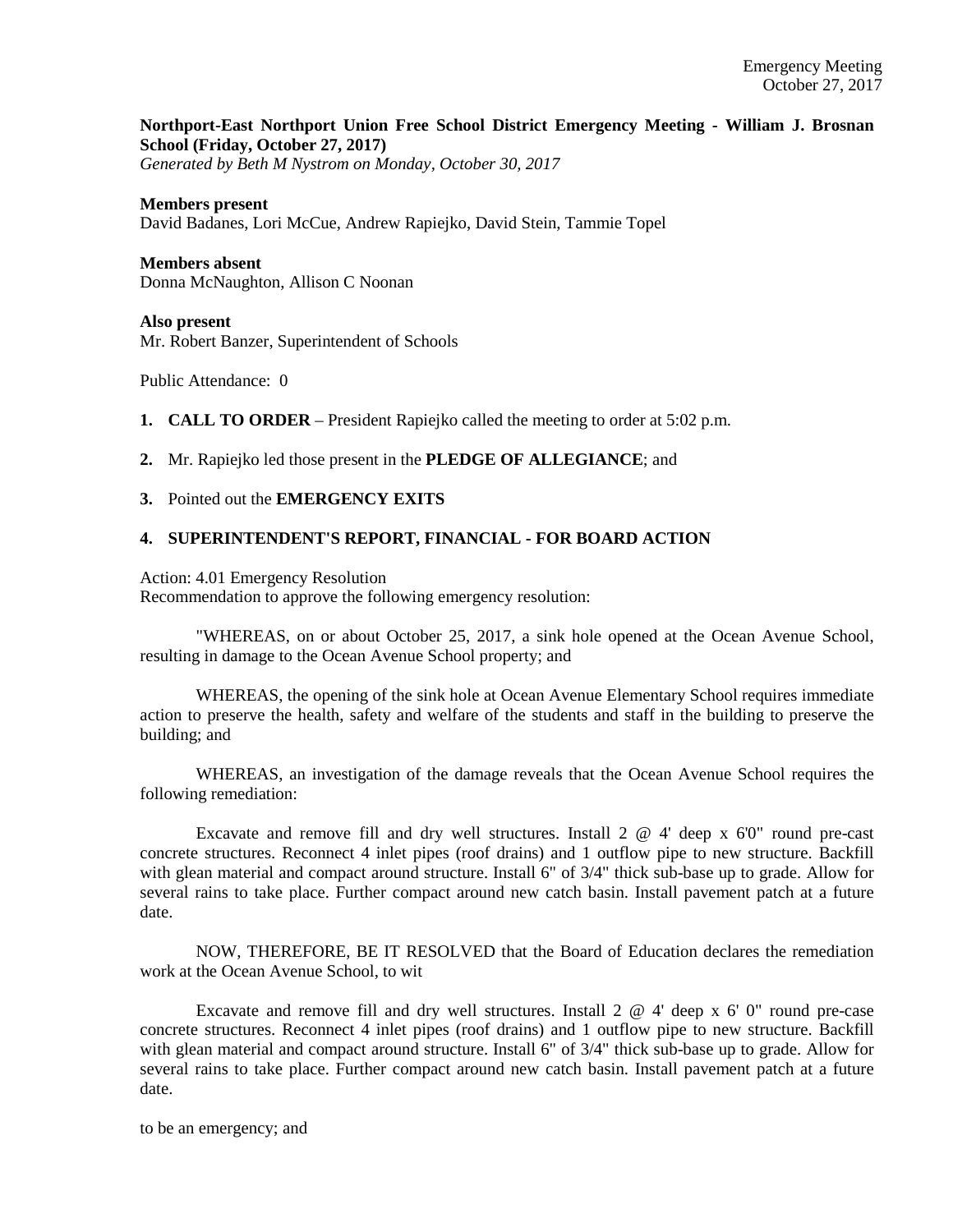# **Northport-East Northport Union Free School District Emergency Meeting - William J. Brosnan School (Friday, October 27, 2017)**

*Generated by Beth M Nystrom on Monday, October 30, 2017*

#### **Members present**

David Badanes, Lori McCue, Andrew Rapiejko, David Stein, Tammie Topel

# **Members absent**

Donna McNaughton, Allison C Noonan

#### **Also present**

Mr. Robert Banzer, Superintendent of Schools

Public Attendance: 0

- **1. CALL TO ORDER** President Rapiejko called the meeting to order at 5:02 p.m.
- **2.** Mr. Rapiejko led those present in the **PLEDGE OF ALLEGIANCE**; and

### **3.** Pointed out the **EMERGENCY EXITS**

### **4. SUPERINTENDENT'S REPORT, FINANCIAL - FOR BOARD ACTION**

Action: 4.01 Emergency Resolution

Recommendation to approve the following emergency resolution:

"WHEREAS, on or about October 25, 2017, a sink hole opened at the Ocean Avenue School, resulting in damage to the Ocean Avenue School property; and

WHEREAS, the opening of the sink hole at Ocean Avenue Elementary School requires immediate action to preserve the health, safety and welfare of the students and staff in the building to preserve the building; and

WHEREAS, an investigation of the damage reveals that the Ocean Avenue School requires the following remediation:

Excavate and remove fill and dry well structures. Install 2 @ 4' deep x 6'0" round pre-cast concrete structures. Reconnect 4 inlet pipes (roof drains) and 1 outflow pipe to new structure. Backfill with glean material and compact around structure. Install 6" of 3/4" thick sub-base up to grade. Allow for several rains to take place. Further compact around new catch basin. Install pavement patch at a future date.

NOW, THEREFORE, BE IT RESOLVED that the Board of Education declares the remediation work at the Ocean Avenue School, to wit

Excavate and remove fill and dry well structures. Install 2 @ 4' deep x 6' 0" round pre-case concrete structures. Reconnect 4 inlet pipes (roof drains) and 1 outflow pipe to new structure. Backfill with glean material and compact around structure. Install 6" of 3/4" thick sub-base up to grade. Allow for several rains to take place. Further compact around new catch basin. Install pavement patch at a future date.

to be an emergency; and